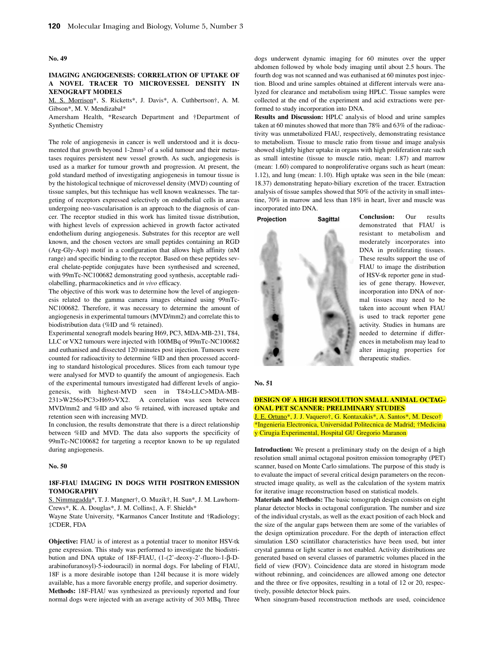## **No. 49**

# **IMAGING ANGIOGENESIS: CORRELATION OF UPTAKE OF A NOVEL TRACER TO MICROVESSEL DENSITY IN XENOGRAFT MODELS**

M. S. Morrison\*, S. Ricketts\*, J. Davis\*, A. Cuthbertson†, A. M. Gibson\*, M. V. Mendizabal\*

Amersham Health, \*Research Department and †Department of Synthetic Chemistry

The role of angiogenesis in cancer is well understood and it is documented that growth beyond 1-2mm3 of a solid tumour and their metastases requires persistent new vessel growth. As such, angiogenesis is used as a marker for tumour growth and progression. At present, the gold standard method of investigating angiogenesis in tumour tissue is by the histological technique of microvessel density (MVD) counting of tissue samples, but this technique has well known weaknesses. The targeting of receptors expressed selectively on endothelial cells in areas undergoing neo-vascularisation is an approach to the diagnosis of cancer. The receptor studied in this work has limited tissue distribution, with highest levels of expression achieved in growth factor activated endothelium during angiogenesis. Substrates for this receptor are well known, and the chosen vectors are small peptides containing an RGD (Arg-Gly-Asp) motif in a configuration that allows high affinity (nM range) and specific binding to the receptor. Based on these peptides several chelate-peptide conjugates have been synthesised and screened, with 99mTc-NC100682 demonstrating good synthesis, acceptable radiolabelling, pharmacokinetics and *in vivo* efficacy.

The objective of this work was to determine how the level of angiogenesis related to the gamma camera images obtained using 99mTc-NC100682. Therefore, it was necessary to determine the amount of angiogenesis in experimental tumours (MVD/mm2) and correlate this to biodistribution data (%ID and % retained).

Experimental xenograft models bearing H69, PC3, MDA-MB-231, T84, LLC or VX2 tumours were injected with 100MBq of 99mTc-NC100682 and euthanised and dissected 120 minutes post injection. Tumours were counted for radioactivity to determine %ID and then processed according to standard histological procedures. Slices from each tumour type were analysed for MVD to quantify the amount of angiogenesis. Each of the experimental tumours investigated had different levels of angiogenesis, with highest-MVD seen in T84>LLC>MDA-MB-231>W256>PC3>H69>VX2. A correlation was seen between MVD/mm2 and %ID and also % retained, with increased uptake and retention seen with increasing MVD.

In conclusion, the results demonstrate that there is a direct relationship between %ID and MVD. The data also supports the specificity of 99mTc-NC100682 for targeting a receptor known to be up regulated during angiogenesis.

### **No. 50**

## **18F-FIAU IMAGING IN DOGS WITH POSITRON EMISSION TOMOGRAPHY**

S. Nimmagadda\*, T. J. Mangner†, O. Muzik†, H. Sun\*, J. M. Lawhorn-Crews\*, K. A. Douglas\*, J. M. Collins‡, A. F. Shields\*

Wayne State University, \*Karmanos Cancer Institute and †Radiology; ‡CDER, FDA

**Objective:** FIAU is of interest as a potential tracer to monitor HSV-tk gene expression. This study was performed to investigate the biodistribution and DNA uptake of 18F-FIAU, (1-(2'-deoxy-2'-fluoro-1-β-Darabinofuranosyl)-5-iodouracil) in normal dogs. For labeling of FIAU, 18F is a more desirable isotope than 124I because it is more widely available, has a more favorable energy profile, and superior dosimetry. **Methods:** 18F-FIAU was synthesized as previously reported and four normal dogs were injected with an average activity of 303 MBq. Three

dogs underwent dynamic imaging for 60 minutes over the upper abdomen followed by whole body imaging until about 2.5 hours. The fourth dog was not scanned and was euthanised at 60 minutes post injection. Blood and urine samples obtained at different intervals were analyzed for clearance and metabolism using HPLC. Tissue samples were collected at the end of the experiment and acid extractions were performed to study incorporation into DNA.

**Results and Discussion:** HPLC analysis of blood and urine samples taken at 60 minutes showed that more than 78% and 63% of the radioactivity was unmetabolized FIAU, respectively, demonstrating resistance to metabolism. Tissue to muscle ratio from tissue and image analysis showed slightly higher uptake in organs with high proliferation rate such as small intestine (tissue to muscle ratio, mean: 1.87) and marrow (mean: 1.60) compared to nonproliferative organs such as heart (mean: 1.12), and lung (mean: 1.10). High uptake was seen in the bile (mean: 18.37) demonstrating hepato-biliary excretion of the tracer. Extraction analysis of tissue samples showed that 50% of the activity in small intestine, 70% in marrow and less than 18% in heart, liver and muscle was incorporated into DNA.

Projection **Sagittal** 



**Conclusion:** Our results demonstrated that FIAU is resistant to metabolism and moderately incorporates into DNA in proliferating tissues. These results support the use of FIAU to image the distribution of HSV-tk reporter gene in studies of gene therapy. However, incorporation into DNA of normal tissues may need to be taken into account when FIAU is used to track reporter gene activity. Studies in humans are needed to determine if differences in metabolism may lead to alter imaging properties for therapeutic studies.

**No. 51**

# **DESIGN OF A HIGH RESOLUTION SMALL ANIMAL OCTAG-ONAL PET SCANNER: PRELIMINARY STUDIES**

J. E. Ortuno\*, J. J. Vaquero†, G. Kontaxakis\*, A. Santos\*, M. Desco† \*Ingenieria Electronica, Universidad Politecnica de Madrid; †Medicina y Cirugia Experimental, Hospital GU Gregorio Maranon

**Introduction:** We present a preliminary study on the design of a high resolution small animal octagonal positron emission tomography (PET) scanner, based on Monte Carlo simulations. The purpose of this study is to evaluate the impact of several critical design parameters on the reconstructed image quality, as well as the calculation of the system matrix for iterative image reconstruction based on statistical models.

**Materials and Methods:** The basic tomograph design consists on eight planar detector blocks in octagonal configuration. The number and size of the individual crystals, as well as the exact position of each block and the size of the angular gaps between them are some of the variables of the design optimization procedure. For the depth of interaction effect simulation LSO scintillator characteristics have been used, but inter crystal gamma or light scatter is not enabled. Activity distributions are generated based on several classes of parametric volumes placed in the field of view (FOV). Coincidence data are stored in histogram mode without rebinning, and coincidences are allowed among one detector and the three or five opposites, resulting in a total of 12 or 20, respectively, possible detector block pairs.

When sinogram-based reconstruction methods are used, coincidence